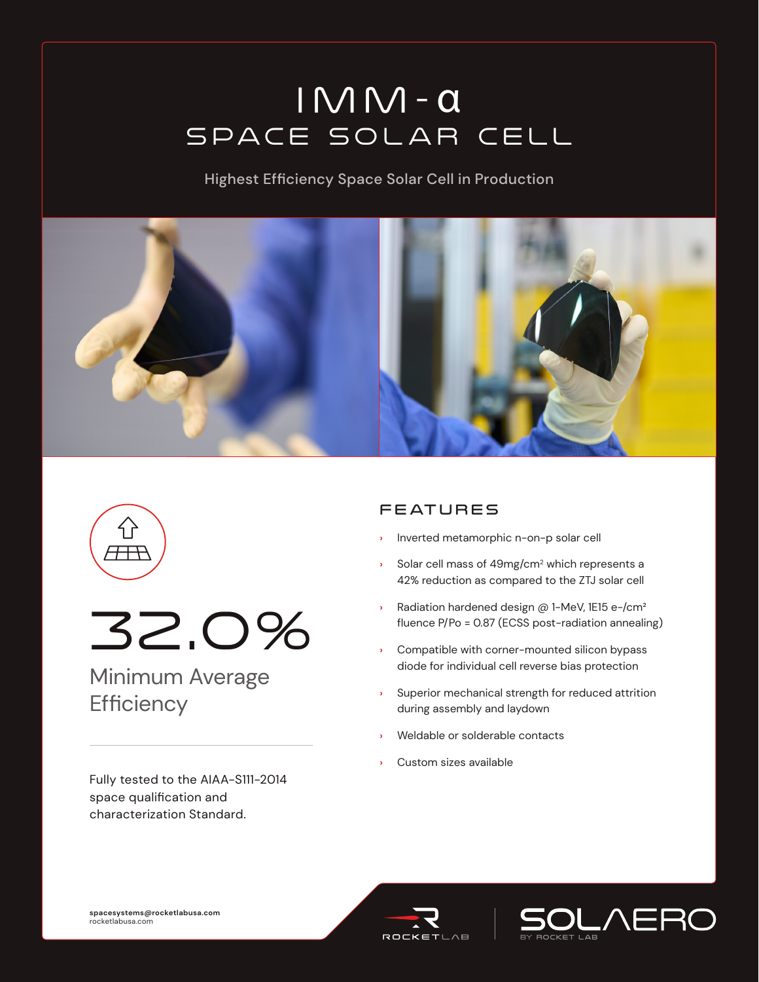# IMM- α Space Solar Cell

Highest Efficiency Space Solar Cell in Production







## Minimum Average **Efficiency**

Fully tested to the AIAA-S111-2014 space qualification and characterization Standard.

### **FEATURES**

- **›** Inverted metamorphic n-on-p solar cell
- **›** Solar cell mass of 49mg/cm2 which represents a 42% reduction as compared to the ZTJ solar cell
- **›** Radiation hardened design @ 1-MeV, 1E15 e-/cm² fluence P/Po = 0.87 (ECSS post-radiation annealing)
- **›** Compatible with corner-mounted silicon bypass diode for individual cell reverse bias protection
- **›** Superior mechanical strength for reduced attrition during assembly and laydown
- **›** Weldable or solderable contacts
- **›** Custom sizes available